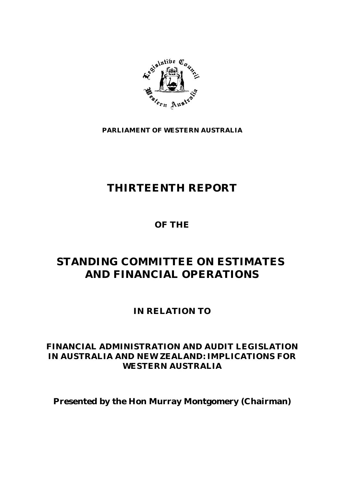

**PARLIAMENT OF WESTERN AUSTRALIA**

# **THIRTEENTH REPORT**

**OF THE**

# **STANDING COMMITTEE ON ESTIMATES AND FINANCIAL OPERATIONS**

**IN RELATION TO**

# **FINANCIAL ADMINISTRATION AND AUDIT LEGISLATION IN AUSTRALIA AND NEW ZEALAND: IMPLICATIONS FOR WESTERN AUSTRALIA**

**Presented by the Hon Murray Montgomery (Chairman)**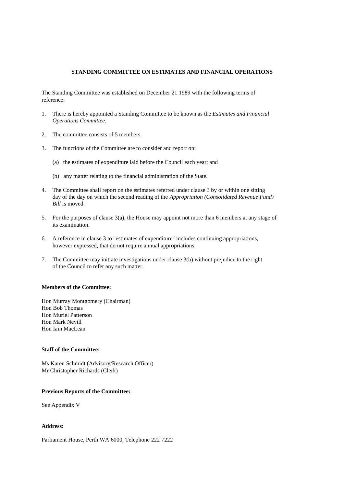The Standing Committee was established on December 21 1989 with the following terms of reference:

- 1. There is hereby appointed a Standing Committee to be known as the *Estimates and Financial Operations Committee.*
- 2. The committee consists of 5 members.
- 3. The functions of the Committee are to consider and report on:
	- (a) the estimates of expenditure laid before the Council each year; and
	- (b) any matter relating to the financial administration of the State.
- 4. The Committee shall report on the estimates referred under clause 3 by or within one sitting day of the day on which the second reading of the *Appropriation (Consolidated Revenue Fund) Bill* is moved.
- 5. For the purposes of clause 3(a), the House may appoint not more than 6 members at any stage of its examination.
- 6. A reference in clause 3 to "estimates of expenditure" includes continuing appropriations, however expressed, that do not require annual appropriations.
- 7. The Committee may initiate investigations under clause 3(b) without prejudice to the right of the Council to refer any such matter.

#### **Members of the Committee:**

Hon Murray Montgomery (Chairman) Hon Bob Thomas Hon Muriel Patterson Hon Mark Nevill Hon Iain MacLean

#### **Staff of the Committee:**

Ms Karen Schmidt (Advisory/Research Officer) Mr Christopher Richards (Clerk)

#### **Previous Reports of the Committee:**

See Appendix V

#### **Address:**

Parliament House, Perth WA 6000, Telephone 222 7222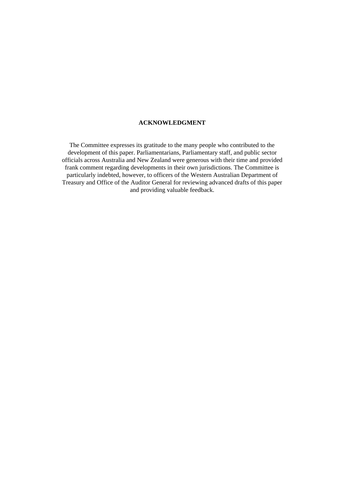#### **ACKNOWLEDGMENT**

The Committee expresses its gratitude to the many people who contributed to the development of this paper. Parliamentarians, Parliamentary staff, and public sector officials across Australia and New Zealand were generous with their time and provided frank comment regarding developments in their own jurisdictions. The Committee is particularly indebted, however, to officers of the Western Australian Department of Treasury and Office of the Auditor General for reviewing advanced drafts of this paper and providing valuable feedback.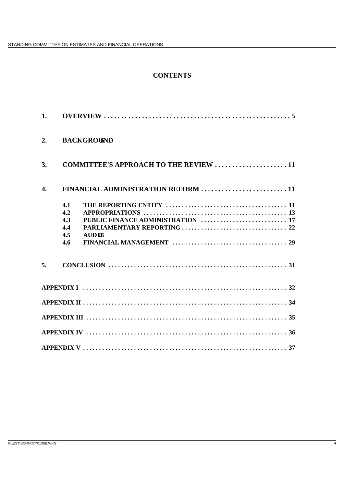# **CONTENTS**

| 1.               |                                                        |                                              |  |
|------------------|--------------------------------------------------------|----------------------------------------------|--|
| 2.               | <b>BACKGROUND</b>                                      |                                              |  |
| 3.               |                                                        | <b>COMMITTEE'S APPROACH TO THE REVIEW 11</b> |  |
| $\overline{4}$ . |                                                        | FINANCIAL ADMINISTRATION REFORM  11          |  |
|                  | 4.1<br>4.2<br>4.3<br>4.4<br><b>AUDER</b><br>4.5<br>4.6 |                                              |  |
| 5.               |                                                        |                                              |  |
|                  |                                                        |                                              |  |
|                  |                                                        |                                              |  |
|                  |                                                        |                                              |  |
|                  |                                                        |                                              |  |
|                  |                                                        |                                              |  |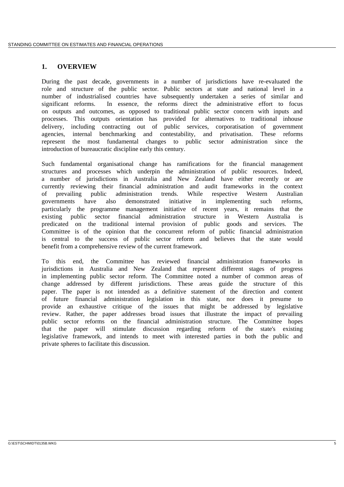## **1. OVERVIEW**

During the past decade, governments in a number of jurisdictions have re-evaluated the role and structure of the public sector. Public sectors at state and national level in a number of industrialised countries have subsequently undertaken a series of similar and significant reforms. In essence, the reforms direct the administrative effort to focus on outputs and outcomes, as opposed to traditional public sector concern with inputs and processes. This outputs orientation has provided for alternatives to traditional inhouse delivery, including contracting out of public services, corporatisation of government agencies, internal benchmarking and contestability, and privatisation. These reforms represent the most fundamental changes to public sector administration since the introduction of bureaucratic discipline early this century.

Such fundamental organisational change has ramifications for the financial management structures and processes which underpin the administration of public resources. Indeed, a number of jurisdictions in Australia and New Zealand have either recently or are currently reviewing their financial administration and audit frameworks in the context of prevailing public administration trends. While respective Western Australian governments have also demonstrated initiative in implementing such reforms, particularly the programme management initiative of recent years, it remains that the existing public sector financial administration structure in Western Australia is predicated on the traditional internal provision of public goods and services. The Committee is of the opinion that the concurrent reform of public financial administration is central to the success of public sector reform and believes that the state would benefit from a comprehensive review of the current framework.

To this end, the Committee has reviewed financial administration frameworks in jurisdictions in Australia and New Zealand that represent different stages of progress in implementing public sector reform. The Committee noted a number of common areas of change addressed by different jurisdictions. These areas guide the structure of this paper. The paper is not intended as a definitive statement of the direction and content of future financial administration legislation in this state, nor does it presume to provide an exhaustive critique of the issues that might be addressed by legislative review. Rather, the paper addresses broad issues that illustrate the impact of prevailing public sector reforms on the financial administration structure. The Committee hopes that the paper will stimulate discussion regarding reform of the state's existing legislative framework, and intends to meet with interested parties in both the public and private spheres to facilitate this discussion.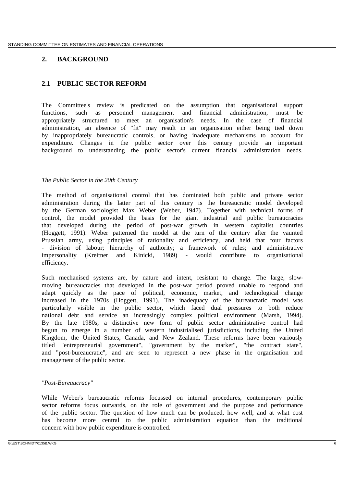# **2. BACKGROUND**

# **2.1 PUBLIC SECTOR REFORM**

The Committee's review is predicated on the assumption that organisational support functions, such as personnel management and financial administration, must be appropriately structured to meet an organisation's needs. In the case of financial administration, an absence of "fit" may result in an organisation either being tied down by inappropriately bureaucratic controls, or having inadequate mechanisms to account for expenditure. Changes in the public sector over this century provide an important background to understanding the public sector's current financial administration needs.

### *The Public Sector in the 20th Century*

The method of organisational control that has dominated both public and private sector administration during the latter part of this century is the bureaucratic model developed by the German sociologist Max Weber (Weber, 1947). Together with technical forms of control, the model provided the basis for the giant industrial and public bureaucracies that developed during the period of post-war growth in western capitalist countries (Hoggett, 1991). Weber patterned the model at the turn of the century after the vaunted Prussian army, using principles of rationality and efficiency, and held that four factors - division of labour; hierarchy of authority; a framework of rules; and administrative impersonality (Kreitner and Kinicki, 1989) - would contribute to organisational efficiency.

Such mechanised systems are, by nature and intent, resistant to change. The large, slowmoving bureaucracies that developed in the post-war period proved unable to respond and adapt quickly as the pace of political, economic, market, and technological change increased in the 1970s (Hoggett, 1991). The inadequacy of the bureaucratic model was particularly visible in the public sector, which faced dual pressures to both reduce national debt and service an increasingly complex political environment (Marsh, 1994). By the late 1980s, a distinctive new form of public sector administrative control had begun to emerge in a number of western industrialised jurisdictions, including the United Kingdom, the United States, Canada, and New Zealand. These reforms have been variously titled "entrepreneurial government", "government by the market", "the contract state", and "post-bureaucratic", and are seen to represent a new phase in the organisation and management of the public sector.

### *"Post-Bureaucracy"*

While Weber's bureaucratic reforms focussed on internal procedures, contemporary public sector reforms focus outwards, on the role of government and the purpose and performance of the public sector. The question of how much can be produced, how well, and at what cost has become more central to the public administration equation than the traditional concern with how public expenditure is controlled.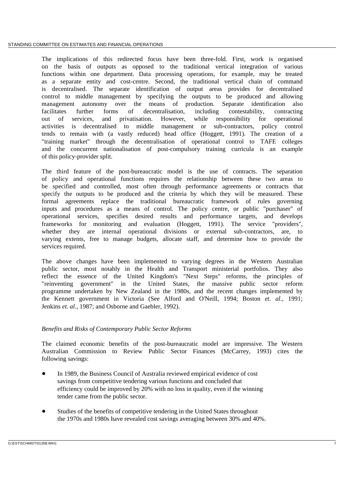The implications of this redirected focus have been three-fold. First, work is organised on the basis of outputs as opposed to the traditional vertical integration of various functions within one department. Data processing operations, for example, may be treated as a separate entity and cost-centre. Second, the traditional vertical chain of command is decentralised. The separate identification of output areas provides for decentralised control to middle management by specifying the outputs to be produced and allowing management autonomy over the means of production. Separate identification also facilitates further forms of decentralisation, including contestability, contracting out of services, and privatisation. However, while responsibility for operational activities is decentralised to middle management or sub-contractors, policy control tends to remain with (a vastly reduced) head office (Hoggett, 1991). The creation of a "training market" through the decentralisation of operational control to TAFE colleges and the concurrent nationalisation of post-compulsory training curricula is an example of this policy-provider split.

The third feature of the post-bureaucratic model is the use of contracts. The separation of policy and operational functions requires the relationship between these two areas to be specified and controlled, most often through performance agreements or contracts that specify the outputs to be produced and the criteria by which they will be measured. These formal agreements replace the traditional bureaucratic framework of rules governing inputs and procedures as a means of control. The policy centre, or public "purchaser" of operational services, specifies desired results and performance targets, and develops frameworks for monitoring and evaluation (Hoggett, 1991). The service "providers", whether they are internal operational divisions or external sub-contractors, are, to varying extents, free to manage budgets, allocate staff, and determine how to provide the services required.

The above changes have been implemented to varying degrees in the Western Australian public sector, most notably in the Health and Transport ministerial portfolios. They also reflect the essence of the United Kingdom's "Next Steps" reforms, the principles of "reinventing government" in the United States, the massive public sector reform programme undertaken by New Zealand in the 1980s, and the recent changes implemented by the Kennett government in Victoria (See Alford and O'Neill, 1994; Boston *et. al.*, 1991; Jenkins *et. al.*, 1987; and Osborne and Gaebler, 1992).

### *Benefits and Risks of Contemporary Public Sector Reforms*

The claimed economic benefits of the post-bureaucratic model are impressive. The Western Australian Commission to Review Public Sector Finances (McCarrey, 1993) cites the following savings:

- $\bullet$  In 1989, the Business Council of Australia reviewed empirical evidence of cost savings from competitive tendering various functions and concluded that efficiency could be improved by 20% with no loss in quality, even if the winning tender came from the public sector.
- $\bullet$  Studies of the benefits of competitive tendering in the United States throughout the 1970s and 1980s have revealed cost savings averaging between 30% and 40%.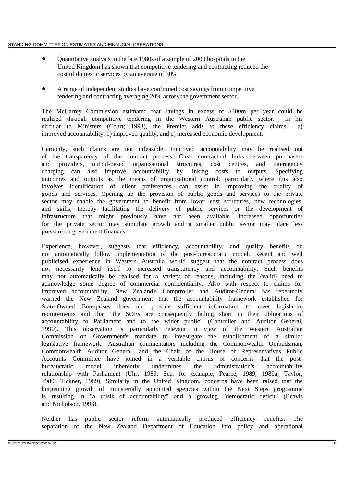- $\bullet$  Quantitative analysis in the late 1980s of a sample of 2000 hospitals in the United Kingdom has shown that competitive tendering and contracting reduced the cost of domestic services by an average of 30%.
- $\bullet$  A range of independent studies have confirmed cost savings from competitive tendering and contracting averaging 20% across the government sector.

The McCarrey Commission estimated that savings in excess of \$300m per year could be realised through competitive tendering in the Western Australian public sector. In his circular to Ministers (Court; 1993), the Premier adds to these efficiency claims a) improved accountability, b) improved quality, and c) increased economic development.

Certainly, such claims are not infeasible. Improved accountability may be realised out of the transparency of the contract process. Clear contractual links between purchasers and providers, output-based organisational structures, cost centres, and interagency charging can also improve accountability by linking costs to outputs. Specifying outcomes and outputs as the means of organisational control, particularly where this also involves identification of client preferences, can assist in improving the quality of goods and services. Opening up the provision of public goods and services to the private sector may enable the government to benefit from lower cost structures, new technologies, and skills, thereby facilitating the delivery of public services or the development of infrastructure that might previously have not been available. Increased opportunities for the private sector may stimulate growth and a smaller public sector may place less pressure on government finances.

Experience, however, suggests that efficiency, accountability, and quality benefits do not automatically follow implementation of the post-bureaucratic model. Recent and well publicised experience in Western Australia would suggest that the contract process does not necessarily lend itself to increased transparency and accountability. Such benefits may not automatically be realised for a variety of reasons, including the (valid) need to acknowledge some degree of commercial confidentiality. Also with respect to claims for improved accountability, New Zealand's Comptroller and Auditor-General has repeatedly warned the New Zealand government that the accountability framework established for State-Owned Enterprises does not provide sufficient information to meet legislative requirements and that "the SOEs are consequently falling short in their obligations of accountability to Parliament and to the wider public" (Controller and Auditor General, 1990). This observation is particularly relevant in view of the Western Australian Commission on Government's mandate to investigate the establishment of a similar legislative framework. Australian commentators including the Commonwealth Ombudsman, Commonwealth Auditor General, and the Chair of the House of Representatives Public Accounts Committee have joined in a veritable chorus of concerns that the postbureaucratic model inherently undermines the administration's accountability relationship with Parliament (Uhr, 1989. See, for example, Pearce, 1989, 1989a; Taylor, 1989; Tickner, 1989). Similarly in the United Kingdom, concerns have been raised that the burgeoning growth of ministerially appointed agencies within the Next Steps programme is resulting in "a crisis of accountability" and a growing "democratic deficit" (Beavis and Nicholson, 1993).

Neither has public sector reform automatically produced efficiency benefits. The separation of the New Zealand Department of Education into policy and operational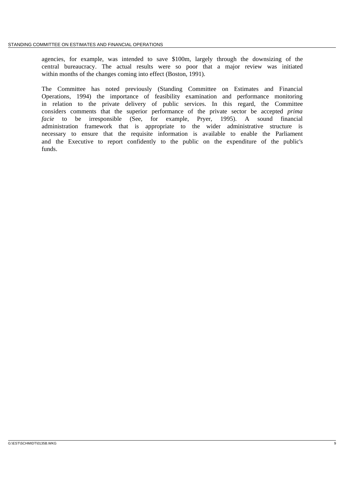agencies, for example, was intended to save \$100m, largely through the downsizing of the central bureaucracy. The actual results were so poor that a major review was initiated within months of the changes coming into effect (Boston, 1991).

The Committee has noted previously (Standing Committee on Estimates and Financial Operations, 1994) the importance of feasibility examination and performance monitoring in relation to the private delivery of public services. In this regard, the Committee considers comments that the superior performance of the private sector be accepted *prima facie* to be irresponsible (See, for example, Pryer, 1995). A sound financial administration framework that is appropriate to the wider administrative structure is necessary to ensure that the requisite information is available to enable the Parliament and the Executive to report confidently to the public on the expenditure of the public's funds.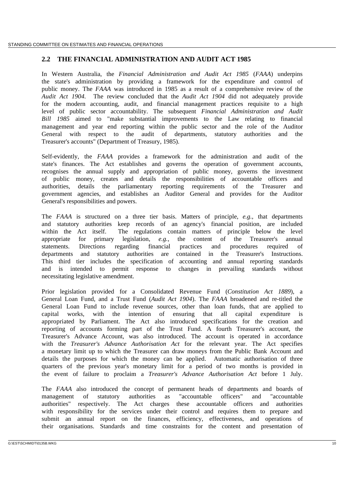## **2.2 THE FINANCIAL ADMINISTRATION AND AUDIT ACT 1985**

In Western Australia, the *Financial Administration and Audit Act 1985* (*FAAA*) underpins the state's administration by providing a framework for the expenditure and control of public money. The *FAAA* was introduced in 1985 as a result of a comprehensive review of the *Audit Act 1904*. The review concluded that the *Audit Act 1904* did not adequately provide for the modern accounting, audit, and financial management practices requisite to a high level of public sector accountability. The subsequent *Financial Administration and Audit Bill 1985* aimed to "make substantial improvements to the Law relating to financial management and year end reporting within the public sector and the role of the Auditor General with respect to the audit of departments, statutory authorities and the Treasurer's accounts" (Department of Treasury, 1985).

Self-evidently, the *FAAA* provides a framework for the administration and audit of the state's finances. The Act establishes and governs the operation of government accounts, recognises the annual supply and appropriation of public money, governs the investment of public money, creates and details the responsibilities of accountable officers and authorities, details the parliamentary reporting requirements of the Treasurer and government agencies, and establishes an Auditor General and provides for the Auditor General's responsibilities and powers.

The *FAAA* is structured on a three tier basis. Matters of principle, *e.g.*, that departments and statutory authorities keep records of an agency's financial position, are included within the Act itself. The regulations contain matters of principle below the level appropriate for primary legislation, *e.g.*, the content of the Treasurer's annual statements. Directions regarding financial practices and procedures required of departments and statutory authorities are contained in the Treasurer's Instructions. This third tier includes the specification of accounting and annual reporting standards and is intended to permit response to changes in prevailing standards without necessitating legislative amendment.

Prior legislation provided for a Consolidated Revenue Fund (*Constitution Act 1889*), a General Loan Fund, and a Trust Fund (*Audit Act 1904*). The *FAAA* broadened and re-titled the General Loan Fund to include revenue sources, other than loan funds, that are applied to capital works, with the intention of ensuring that all capital expenditure is appropriated by Parliament. The Act also introduced specifications for the creation and reporting of accounts forming part of the Trust Fund. A fourth Treasurer's account, the Treasurer's Advance Account, was also introduced. The account is operated in accordance with the *Treasurer's Advance Authorisation Act* for the relevant year. The Act specifies a monetary limit up to which the Treasurer can draw moneys from the Public Bank Account and details the purposes for which the money can be applied. Automatic authorisation of three quarters of the previous year's monetary limit for a period of two months is provided in the event of failure to proclaim a *Treasurer's Advance Authorisation Act* before 1 July.

The *FAAA* also introduced the concept of permanent heads of departments and boards of management of statutory authorities as "accountable officers" and "accountable authorities" respectively. The Act charges these accountable officers and authorities with responsibility for the services under their control and requires them to prepare and submit an annual report on the finances, efficiency, effectiveness, and operations of their organisations. Standards and time constraints for the content and presentation of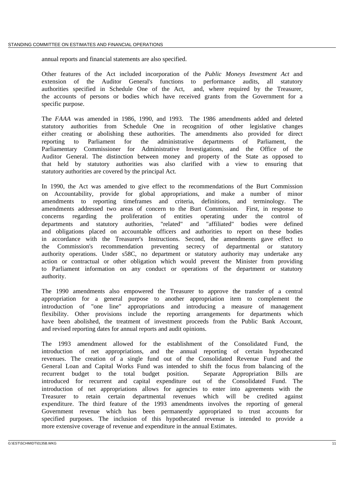annual reports and financial statements are also specified.

Other features of the Act included incorporation of the *Public Moneys Investment Act* and extension of the Auditor General's functions to performance audits, all statutory authorities specified in Schedule One of the Act, and, where required by the Treasurer, the accounts of persons or bodies which have received grants from the Government for a specific purpose.

The *FAAA* was amended in 1986, 1990, and 1993. The 1986 amendments added and deleted statutory authorities from Schedule One in recognition of other legislative changes either creating or abolishing these authorities. The amendments also provided for direct reporting to Parliament for the administrative departments of Parliament, the Parliamentary Commissioner for Administrative Investigations, and the Office of the Auditor General. The distinction between money and property of the State as opposed to that held by statutory authorities was also clarified with a view to ensuring that statutory authorities are covered by the principal Act.

In 1990, the Act was amended to give effect to the recommendations of the Burt Commission on Accountability, provide for global appropriations, and make a number of minor amendments to reporting timeframes and criteria, definitions, and terminology. The amendments addressed two areas of concern to the Burt Commission. First, in response to concerns regarding the proliferation of entities operating under the control of departments and statutory authorities, "related" and "affiliated" bodies were defined and obligations placed on accountable officers and authorities to report on these bodies in accordance with the Treasurer's Instructions. Second, the amendments gave effect to the Commission's recommendation preventing secrecy of departmental or statutory authority operations. Under s58C, no department or statutory authority may undertake any action or contractual or other obligation which would prevent the Minister from providing to Parliament information on any conduct or operations of the department or statutory authority.

The 1990 amendments also empowered the Treasurer to approve the transfer of a central appropriation for a general purpose to another appropriation item to complement the introduction of "one line" appropriations and introducing a measure of management flexibility. Other provisions include the reporting arrangements for departments which have been abolished, the treatment of investment proceeds from the Public Bank Account, and revised reporting dates for annual reports and audit opinions.

The 1993 amendment allowed for the establishment of the Consolidated Fund, the introduction of net appropriations, and the annual reporting of certain hypothecated revenues. The creation of a single fund out of the Consolidated Revenue Fund and the General Loan and Capital Works Fund was intended to shift the focus from balancing of the recurrent budget to the total budget position. Separate Appropriation Bills are introduced for recurrent and capital expenditure out of the Consolidated Fund. The introduction of net appropriations allows for agencies to enter into agreements with the Treasurer to retain certain departmental revenues which will be credited against expenditure. The third feature of the 1993 amendments involves the reporting of general Government revenue which has been permanently appropriated to trust accounts for specified purposes. The inclusion of this hypothecated revenue is intended to provide a more extensive coverage of revenue and expenditure in the annual Estimates.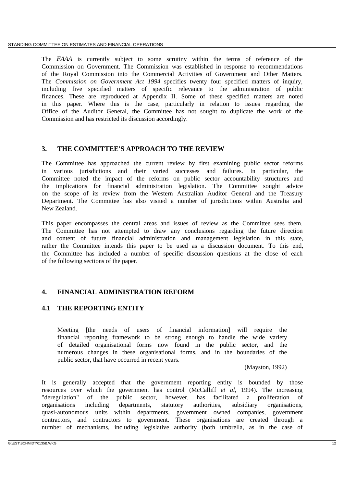The *FAAA* is currently subject to some scrutiny within the terms of reference of the Commission on Government. The Commission was established in response to recommendations of the Royal Commission into the Commercial Activities of Government and Other Matters. The *Commission on Government Act 1994* specifies twenty four specified matters of inquiry, including five specified matters of specific relevance to the administration of public finances. These are reproduced at Appendix II. Some of these specified matters are noted in this paper. Where this is the case, particularly in relation to issues regarding the Office of the Auditor General, the Committee has not sought to duplicate the work of the Commission and has restricted its discussion accordingly.

# **3. THE COMMITTEE'S APPROACH TO THE REVIEW**

The Committee has approached the current review by first examining public sector reforms in various jurisdictions and their varied successes and failures. In particular, the Committee noted the impact of the reforms on public sector accountability structures and the implications for financial administration legislation. The Committee sought advice on the scope of its review from the Western Australian Auditor General and the Treasury Department. The Committee has also visited a number of jurisdictions within Australia and New Zealand.

This paper encompasses the central areas and issues of review as the Committee sees them. The Committee has not attempted to draw any conclusions regarding the future direction and content of future financial administration and management legislation in this state, rather the Committee intends this paper to be used as a discussion document. To this end, the Committee has included a number of specific discussion questions at the close of each of the following sections of the paper.

# **4. FINANCIAL ADMINISTRATION REFORM**

# **4.1 THE REPORTING ENTITY**

Meeting [the needs of users of financial information] will require the financial reporting framework to be strong enough to handle the wide variety of detailed organisational forms now found in the public sector, and the numerous changes in these organisational forms, and in the boundaries of the public sector, that have occurred in recent years.

(Mayston, 1992)

It is generally accepted that the government reporting entity is bounded by those resources over which the government has control (McCalliff *et al*, 1994). The increasing "deregulation" of the public sector, however, has facilitated a proliferation of organisations including departments, statutory authorities, subsidiary organisations, quasi-autonomous units within departments, government owned companies, government contractors, and contractors to government. These organisations are created through a number of mechanisms, including legislative authority (both umbrella, as in the case of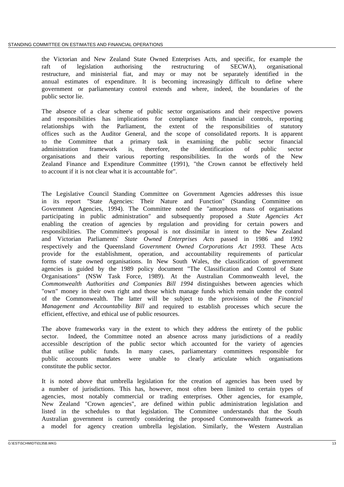the Victorian and New Zealand State Owned Enterprises Acts, and specific, for example the raft of legislation authorising the restructuring of SECWA), organisational restructure, and ministerial fiat, and may or may not be separately identified in the annual estimates of expenditure. It is becoming increasingly difficult to define where government or parliamentary control extends and where, indeed, the boundaries of the public sector lie.

The absence of a clear scheme of public sector organisations and their respective powers and responsibilities has implications for compliance with financial controls, reporting relationships with the Parliament, the extent of the responsibilities of statutory offices such as the Auditor General, and the scope of consolidated reports. It is apparent to the Committee that a primary task in examining the public sector financial administration framework is, therefore, the identification of public sector organisations and their various reporting responsibilities. In the words of the New Zealand Finance and Expenditure Committee (1991), "the Crown cannot be effectively held to account if it is not clear what it is accountable for".

The Legislative Council Standing Committee on Government Agencies addresses this issue in its report "State Agencies: Their Nature and Function" (Standing Committee on Government Agencies, 1994). The Committee noted the "amorphous mass of organisations participating in public administration" and subsequently proposed a *State Agencies Act* enabling the creation of agencies by regulation and providing for certain powers and responsibilities. The Committee's proposal is not dissimilar in intent to the New Zealand and Victorian Parliaments' *State Owned Enterprises Acts* passed in 1986 and 1992 respectively and the Queensland *Government Owned Corporations Act 1993*. These Acts provide for the establishment, operation, and accountability requirements of particular forms of state owned organisations. In New South Wales, the classification of government agencies is guided by the 1989 policy document "The Classification and Control of State Organisations" (NSW Task Force, 1989). At the Australian Commonwealth level, the *Commonwealth Authorities and Companies Bill 1994* distinguishes between agencies which "own" money in their own right and those which manage funds which remain under the control of the Commonwealth. The latter will be subject to the provisions of the *Financial Management and Accountability Bill* and required to establish processes which secure the efficient, effective, and ethical use of public resources.

The above frameworks vary in the extent to which they address the entirety of the public sector. Indeed, the Committee noted an absence across many jurisdictions of a readily accessible description of the public sector which accounted for the variety of agencies that utilise public funds. In many cases, parliamentary committees responsible for public accounts mandates were unable to clearly articulate which organisations constitute the public sector.

It is noted above that umbrella legislation for the creation of agencies has been used by a number of jurisdictions. This has, however, most often been limited to certain types of agencies, most notably commercial or trading enterprises. Other agencies, for example, New Zealand "Crown agencies", are defined within public administration legislation and listed in the schedules to that legislation. The Committee understands that the South Australian government is currently considering the proposed Commonwealth framework as a model for agency creation umbrella legislation. Similarly, the Western Australian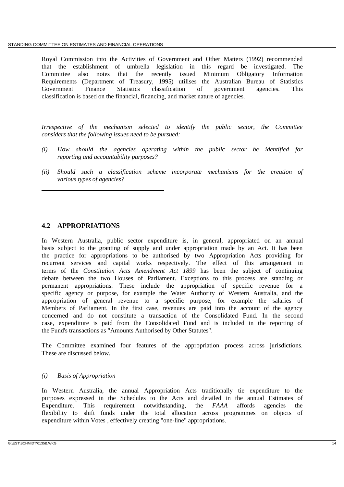Royal Commission into the Activities of Government and Other Matters (1992) recommended that the establishment of umbrella legislation in this regard be investigated. The Committee also notes that the recently issued Minimum Obligatory Information Requirements (Department of Treasury, 1995) utilises the Australian Bureau of Statistics Government Finance Statistics classification of government agencies. This classification is based on the financial, financing, and market nature of agencies.

*Irrespective of the mechanism selected to identify the public sector, the Committee considers that the following issues need to be pursued:*

- *(i) How should the agencies operating within the public sector be identified for reporting and accountability purposes?*
- *(ii) Should such a classification scheme incorporate mechanisms for the creation of various types of agencies?*

# **4.2 APPROPRIATIONS**

In Western Australia, public sector expenditure is, in general, appropriated on an annual basis subject to the granting of supply and under appropriation made by an Act. It has been the practice for appropriations to be authorised by two Appropriation Acts providing for recurrent services and capital works respectively. The effect of this arrangement in terms of the *Constitution Acts Amendment Act 1899* has been the subject of continuing debate between the two Houses of Parliament. Exceptions to this process are standing or permanent appropriations. These include the appropriation of specific revenue for a specific agency or purpose, for example the Water Authority of Western Australia, and the appropriation of general revenue to a specific purpose, for example the salaries of Members of Parliament. In the first case, revenues are paid into the account of the agency concerned and do not constitute a transaction of the Consolidated Fund. In the second case, expenditure is paid from the Consolidated Fund and is included in the reporting of the Fund's transactions as "Amounts Authorised by Other Statutes".

The Committee examined four features of the appropriation process across jurisdictions. These are discussed below.

### *(i) Basis of Appropriation*

In Western Australia, the annual Appropriation Acts traditionally tie expenditure to the purposes expressed in the Schedules to the Acts and detailed in the annual Estimates of Expenditure. This requirement notwithstanding, the *FAAA* affords agencies the flexibility to shift funds under the total allocation across programmes on objects of expenditure within Votes , effectively creating "one-line" appropriations.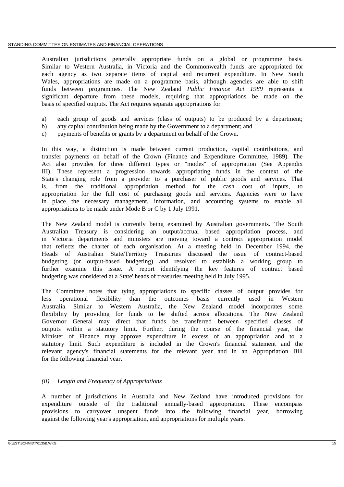Australian jurisdictions generally appropriate funds on a global or programme basis. Similar to Western Australia, in Victoria and the Commonwealth funds are appropriated for each agency as two separate items of capital and recurrent expenditure. In New South Wales, appropriations are made on a programme basis, although agencies are able to shift funds between programmes. The New Zealand *Public Finance Act 1989* represents a significant departure from these models, requiring that appropriations be made on the basis of specified outputs. The Act requires separate appropriations for

- a) each group of goods and services (class of outputs) to be produced by a department;
- b) any capital contribution being made by the Government to a department; and
- c) payments of benefits or grants by a department on behalf of the Crown.

In this way, a distinction is made between current production, capital contributions, and transfer payments on behalf of the Crown (Finance and Expenditure Committee, 1989). The Act also provides for three different types or "modes" of appropriation (See Appendix III). These represent a progression towards appropriating funds in the context of the State's changing role from a provider to a purchaser of public goods and services. That is, from the traditional appropriation method for the cash cost of inputs, to appropriation for the full cost of purchasing goods and services. Agencies were to have in place the necessary management, information, and accounting systems to enable all appropriations to be made under Mode B or C by 1 July 1991.

The New Zealand model is currently being examined by Australian governments. The South Australian Treasury is considering an output/accrual based appropriation process, and in Victoria departments and ministers are moving toward a contract appropriation model that reflects the charter of each organisation. At a meeting held in December 1994, the Heads of Australian State/Territory Treasuries discussed the issue of contract-based budgeting (or output-based budgeting) and resolved to establish a working group to further examine this issue. A report identifying the key features of contract based budgeting was considered at a State' heads of treasuries meeting held in July 1995.

The Committee notes that tying appropriations to specific classes of output provides for less operational flexibility than the outcomes basis currently used in Western Australia. Similar to Western Australia, the New Zealand model incorporates some flexibility by providing for funds to be shifted across allocations. The New Zealand Governor General may direct that funds be transferred between specified classes of outputs within a statutory limit. Further, during the course of the financial year, the Minister of Finance may approve expenditure in excess of an appropriation and to a statutory limit. Such expenditure is included in the Crown's financial statement and the relevant agency's financial statements for the relevant year and in an Appropriation Bill for the following financial year.

### *(ii) Length and Frequency of Appropriations*

A number of jurisdictions in Australia and New Zealand have introduced provisions for expenditure outside of the traditional annually-based appropriation. These encompass provisions to carryover unspent funds into the following financial year, borrowing against the following year's appropriation, and appropriations for multiple years.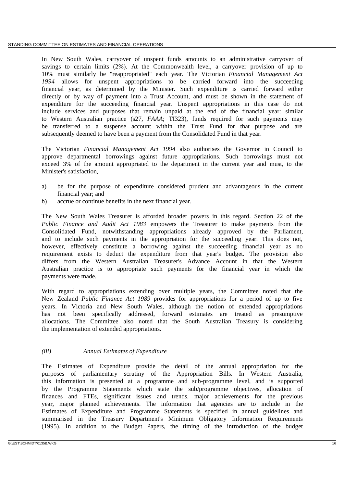In New South Wales, carryover of unspent funds amounts to an administrative carryover of savings to certain limits (2%). At the Commonwealth level, a carryover provision of up to 10% must similarly be "reappropriated" each year. The Victorian *Financial Management Act 1994* allows for unspent appropriations to be carried forward into the succeeding financial year, as determined by the Minister. Such expenditure is carried forward either directly or by way of payment into a Trust Account, and must be shown in the statement of expenditure for the succeeding financial year. Unspent appropriations in this case do not include services and purposes that remain unpaid at the end of the financial year: similar to Western Australian practice (s27, *FAAA*; TI323), funds required for such payments may be transferred to a suspense account within the Trust Fund for that purpose and are subsequently deemed to have been a payment from the Consolidated Fund in that year.

The Victorian *Financial Management Act 1994* also authorises the Governor in Council to approve departmental borrowings against future appropriations. Such borrowings must not exceed 3% of the amount appropriated to the department in the current year and must, to the Minister's satisfaction,

- a) be for the purpose of expenditure considered prudent and advantageous in the current financial year; and
- b) accrue or continue benefits in the next financial year.

The New South Wales Treasurer is afforded broader powers in this regard. Section 22 of the *Public Finance and Audit Act 1983* empowers the Treasurer to make payments from the Consolidated Fund, notwithstanding appropriations already approved by the Parliament, and to include such payments in the appropriation for the succeeding year. This does not, however, effectively constitute a borrowing against the succeeding financial year as no requirement exists to deduct the expenditure from that year's budget. The provision also differs from the Western Australian Treasurer's Advance Account in that the Western Australian practice is to appropriate such payments for the financial year in which the payments were made.

With regard to appropriations extending over multiple years, the Committee noted that the New Zealand *Public Finance Act 1989* provides for appropriations for a period of up to five years. In Victoria and New South Wales, although the notion of extended appropriations has not been specifically addressed, forward estimates are treated as presumptive allocations. The Committee also noted that the South Australian Treasury is considering the implementation of extended appropriations.

### *(iii) Annual Estimates of Expenditure*

The Estimates of Expenditure provide the detail of the annual appropriation for the purposes of parliamentary scrutiny of the Appropriation Bills. In Western Australia, this information is presented at a programme and sub-programme level, and is supported by the Programme Statements which state the sub/programme objectives, allocation of finances and FTEs, significant issues and trends, major achievements for the previous year, major planned achievements. The information that agencies are to include in the Estimates of Expenditure and Programme Statements is specified in annual guidelines and summarised in the Treasury Department's Minimum Obligatory Information Requirements (1995). In addition to the Budget Papers, the timing of the introduction of the budget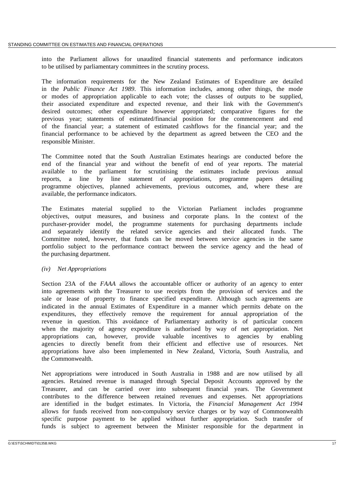into the Parliament allows for unaudited financial statements and performance indicators to be utilised by parliamentary committees in the scrutiny process.

The information requirements for the New Zealand Estimates of Expenditure are detailed in the *Public Finance Act 1989*. This information includes, among other things, the mode or modes of appropriation applicable to each vote; the classes of outputs to be supplied, their associated expenditure and expected revenue, and their link with the Government's desired outcomes; other expenditure however appropriated; comparative figures for the previous year; statements of estimated/financial position for the commencement and end of the financial year; a statement of estimated cashflows for the financial year; and the financial performance to be achieved by the department as agreed between the CEO and the responsible Minister.

The Committee noted that the South Australian Estimates hearings are conducted before the end of the financial year and without the benefit of end of year reports. The material available to the parliament for scrutinising the estimates include previous annual reports, a line by line statement of appropriations, programme papers detailing programme objectives, planned achievements, previous outcomes, and, where these are available, the performance indicators.

The Estimates material supplied to the Victorian Parliament includes programme objectives, output measures, and business and corporate plans. In the context of the purchaser-provider model, the programme statements for purchasing departments include and separately identify the related service agencies and their allocated funds. The Committee noted, however, that funds can be moved between service agencies in the same portfolio subject to the performance contract between the service agency and the head of the purchasing department.

### *(iv) Net Appropriations*

Section 23A of the *FAAA* allows the accountable officer or authority of an agency to enter into agreements with the Treasurer to use receipts from the provision of services and the sale or lease of property to finance specified expenditure. Although such agreements are indicated in the annual Estimates of Expenditure in a manner which permits debate on the expenditures, they effectively remove the requirement for annual appropriation of the revenue in question. This avoidance of Parliamentary authority is of particular concern when the majority of agency expenditure is authorised by way of net appropriation. Net appropriations can, however, provide valuable incentives to agencies by enabling agencies to directly benefit from their efficient and effective use of resources. Net appropriations have also been implemented in New Zealand, Victoria, South Australia, and the Commonwealth.

Net appropriations were introduced in South Australia in 1988 and are now utilised by all agencies. Retained revenue is managed through Special Deposit Accounts approved by the Treasurer, and can be carried over into subsequent financial years. The Government contributes to the difference between retained revenues and expenses. Net appropriations are identified in the budget estimates. In Victoria, the *Financial Management Act 1994* allows for funds received from non-compulsory service charges or by way of Commonwealth specific purpose payment to be applied without further appropriation. Such transfer of funds is subject to agreement between the Minister responsible for the department in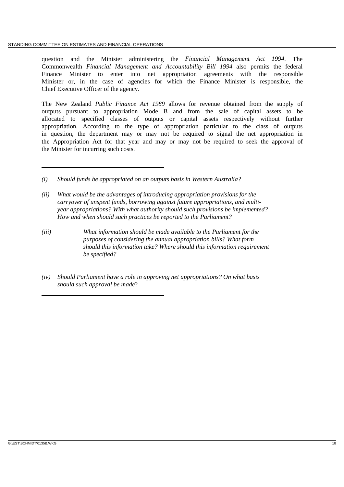question and the Minister administering the *Financial Management Act 1994*. The Commonwealth *Financial Management and Accountability Bill 1994* also permits the federal Finance Minister to enter into net appropriation agreements with the responsible Minister or, in the case of agencies for which the Finance Minister is responsible, the Chief Executive Officer of the agency.

The New Zealand *Public Finance Act 1989* allows for revenue obtained from the supply of outputs pursuant to appropriation Mode B and from the sale of capital assets to be allocated to specified classes of outputs or capital assets respectively without further appropriation. According to the type of appropriation particular to the class of outputs in question, the department may or may not be required to signal the net appropriation in the Appropriation Act for that year and may or may not be required to seek the approval of the Minister for incurring such costs.

- *(i) Should funds be appropriated on an outputs basis in Western Australia?*
- *(ii) What would be the advantages of introducing appropriation provisions for the carryover of unspent funds, borrowing against future appropriations, and multiyear appropriations? With what authority should such provisions be implemented? How and when should such practices be reported to the Parliament?*
- *(iii) What information should be made available to the Parliament for the purposes of considering the annual appropriation bills? What form should this information take? Where should this information requirement be specified?*
- *(iv) Should Parliament have a role in approving net appropriations? On what basis should such approval be made*?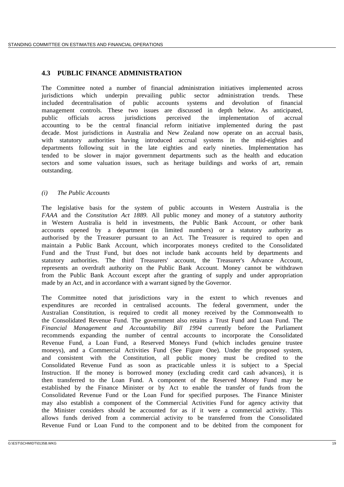# **4.3 PUBLIC FINANCE ADMINISTRATION**

The Committee noted a number of financial administration initiatives implemented across jurisdictions which underpin prevailing public sector administration trends. These included decentralisation of public accounts systems and devolution of financial management controls. These two issues are discussed in depth below. As anticipated, public officials across jurisdictions perceived the implementation of accrual accounting to be the central financial reform initiative implemented during the past decade. Most jurisdictions in Australia and New Zealand now operate on an accrual basis, with statutory authorities having introduced accrual systems in the mid-eighties and departments following suit in the late eighties and early nineties. Implementation has tended to be slower in major government departments such as the health and education sectors and some valuation issues, such as heritage buildings and works of art, remain outstanding.

## *(i) The Public Accounts*

The legislative basis for the system of public accounts in Western Australia is the *FAAA* and the *Constitution Act 1889*. All public money and money of a statutory authority in Western Australia is held in investments, the Public Bank Account, or other bank accounts opened by a department (in limited numbers) or a statutory authority as authorised by the Treasurer pursuant to an Act. The Treasurer is required to open and maintain a Public Bank Account, which incorporates moneys credited to the Consolidated Fund and the Trust Fund, but does not include bank accounts held by departments and statutory authorities. The third Treasurers' account, the Treasurer's Advance Account, represents an overdraft authority on the Public Bank Account. Money cannot be withdrawn from the Public Bank Account except after the granting of supply and under appropriation made by an Act, and in accordance with a warrant signed by the Governor.

The Committee noted that jurisdictions vary in the extent to which revenues and expenditures are recorded in centralised accounts. The federal government, under the Australian Constitution, is required to credit all money received by the Commonwealth to the Consolidated Revenue Fund. The government also retains a Trust Fund and Loan Fund. The *Financial Management and Accountability Bill 1994* currently before the Parliament recommends expanding the number of central accounts to incorporate the Consolidated Revenue Fund, a Loan Fund, a Reserved Moneys Fund (which includes genuine trustee moneys), and a Commercial Activities Fund (See Figure One). Under the proposed system, and consistent with the Constitution, all public money must be credited to the Consolidated Revenue Fund as soon as practicable unless it is subject to a Special Instruction. If the money is borrowed money (excluding credit card cash advances), it is then transferred to the Loan Fund. A component of the Reserved Money Fund may be established by the Finance Minister or by Act to enable the transfer of funds from the Consolidated Revenue Fund or the Loan Fund for specified purposes. The Finance Minister may also establish a component of the Commercial Activities Fund for agency activity that the Minister considers should be accounted for as if it were a commercial activity. This allows funds derived from a commercial activity to be transferred from the Consolidated Revenue Fund or Loan Fund to the component and to be debited from the component for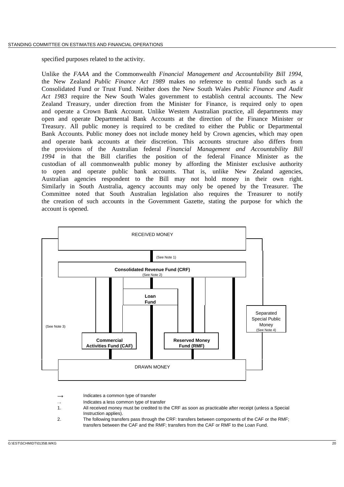specified purposes related to the activity.

Unlike the *FAAA* and the Commonwealth *Financial Management and Accountability Bill 1994*, the New Zealand *Public Finance Act 1989* makes no reference to central funds such as a Consolidated Fund or Trust Fund. Neither does the New South Wales *Public Finance and Audit Act 1983* require the New South Wales government to establish central accounts. The New Zealand Treasury, under direction from the Minister for Finance, is required only to open and operate a Crown Bank Account. Unlike Western Australian practice, all departments may open and operate Departmental Bank Accounts at the direction of the Finance Minister or Treasury. All public money is required to be credited to either the Public or Departmental Bank Accounts. Public money does not include money held by Crown agencies, which may open and operate bank accounts at their discretion. This accounts structure also differs from the provisions of the Australian federal *Financial Management and Accountability Bill 1994* in that the Bill clarifies the position of the federal Finance Minister as the custodian of all commonwealth public money by affording the Minister exclusive authority to open and operate public bank accounts. That is, unlike New Zealand agencies, Australian agencies respondent to the Bill may not hold money in their own right. Similarly in South Australia, agency accounts may only be opened by the Treasurer. The Committee noted that South Australian legislation also requires the Treasurer to notify the creation of such accounts in the Government Gazette, stating the purpose for which the account is opened.



Indicates a common type of transfer

- Indicates a less common type of transfer
- 1. All received money must be credited to the CRF as soon as practicable after receipt (unless a Special Instruction applies).
- 2. The following transfers pass through the CRF: transfers between components of the CAF or the RMF; transfers between the CAF and the RMF; transfers from the CAF or RMF to the Loan Fund.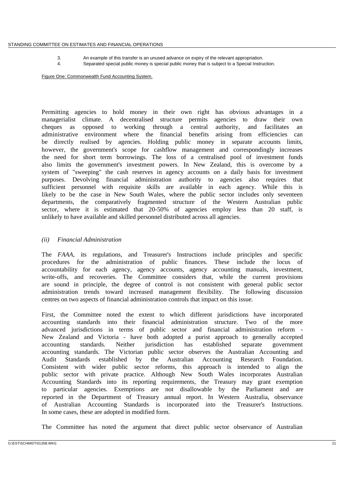3. An example of this transfer is an unused advance on expiry of the relevant appropriation.

4. Separated special public money is special public money that is subject to a Special Instruction.

Figure One: Commonwealth Fund Accounting System.

Permitting agencies to hold money in their own right has obvious advantages in a managerialist climate. A decentralised structure permits agencies to draw their own cheques as opposed to working through a central authority, and facilitates an administrative environment where the financial benefits arising from efficiencies can be directly realised by agencies. Holding public money in separate accounts limits, however, the government's scope for cashflow management and correspondingly increases the need for short term borrowings. The loss of a centralised pool of investment funds also limits the government's investment powers. In New Zealand, this is overcome by a system of "sweeping" the cash reserves in agency accounts on a daily basis for investment purposes. Devolving financial administration authority to agencies also requires that sufficient personnel with requisite skills are available in each agency. While this is likely to be the case in New South Wales, where the public sector includes only seventeen departments, the comparatively fragmented structure of the Western Australian public sector, where it is estimated that 20-50% of agencies employ less than 20 staff, is unlikely to have available and skilled personnel distributed across all agencies.

#### *(ii) Financial Administration*

The *FAAA*, its regulations, and Treasurer's Instructions include principles and specific procedures for the administration of public finances. These include the locus of accountability for each agency, agency accounts, agency accounting manuals, investment, write-offs, and recoveries. The Committee considers that, while the current provisions are sound in principle, the degree of control is not consistent with general public sector administration trends toward increased management flexibility. The following discussion centres on two aspects of financial administration controls that impact on this issue.

First, the Committee noted the extent to which different jurisdictions have incorporated accounting standards into their financial administration structure. Two of the more advanced jurisdictions in terms of public sector and financial administration reform - New Zealand and Victoria - have both adopted a purist approach to generally accepted accounting standards. Neither jurisdiction has established separate government accounting standards. The Victorian public sector observes the Australian Accounting and Audit Standards established by the Australian Accounting Research Foundation. Consistent with wider public sector reforms, this approach is intended to align the public sector with private practice. Although New South Wales incorporates Australian Accounting Standards into its reporting requirements, the Treasury may grant exemption to particular agencies. Exemptions are not disallowable by the Parliament and are reported in the Department of Treasury annual report. In Western Australia, observance of Australian Accounting Standards is incorporated into the Treasurer's Instructions. In some cases, these are adopted in modified form.

The Committee has noted the argument that direct public sector observance of Australian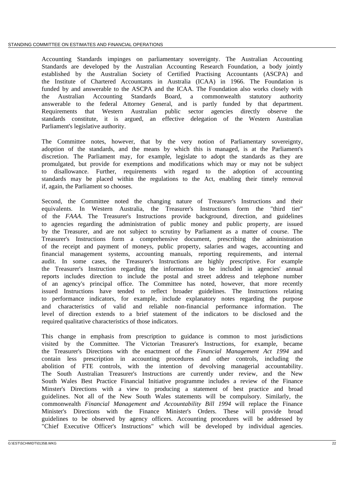Accounting Standards impinges on parliamentary sovereignty. The Australian Accounting Standards are developed by the Australian Accounting Research Foundation, a body jointly established by the Australian Society of Certified Practising Accountants (ASCPA) and the Institute of Chartered Accountants in Australia (ICAA) in 1966. The Foundation is funded by and answerable to the ASCPA and the ICAA. The Foundation also works closely with the Australian Accounting Standards Board, a commonwealth statutory authority answerable to the federal Attorney General, and is partly funded by that department. Requirements that Western Australian public sector agencies directly observe the standards constitute, it is argued, an effective delegation of the Western Australian Parliament's legislative authority.

The Committee notes, however, that by the very notion of Parliamentary sovereignty, adoption of the standards, and the means by which this is managed, is at the Parliament's discretion. The Parliament may, for example, legislate to adopt the standards as they are promulgated, but provide for exemptions and modifications which may or may not be subject to disallowance. Further, requirements with regard to the adoption of accounting standards may be placed within the regulations to the Act, enabling their timely removal if, again, the Parliament so chooses.

Second, the Committee noted the changing nature of Treasurer's Instructions and their equivalents. In Western Australia, the Treasurer's Instructions form the "third tier" of the *FAAA*. The Treasurer's Instructions provide background, direction, and guidelines to agencies regarding the administration of public money and public property, are issued by the Treasurer, and are not subject to scrutiny by Parliament as a matter of course. The Treasurer's Instructions form a comprehensive document, prescribing the administration of the receipt and payment of moneys, public property, salaries and wages, accounting and financial management systems, accounting manuals, reporting requirements, and internal audit. In some cases, the Treasurer's Instructions are highly prescriptive. For example the Treasurer's Instruction regarding the information to be included in agencies' annual reports includes direction to include the postal and street address and telephone number of an agency's principal office. The Committee has noted, however, that more recently issued Instructions have tended to reflect broader guidelines. The Instructions relating to performance indicators, for example, include explanatory notes regarding the purpose and characteristics of valid and reliable non-financial performance information. The level of direction extends to a brief statement of the indicators to be disclosed and the required qualitative characteristics of those indicators.

This change in emphasis from prescription to guidance is common to most jurisdictions visited by the Committee. The Victorian Treasurer's Instructions, for example, became the Treasurer's Directions with the enactment of the *Financial Management Act 1994* and contain less prescription in accounting procedures and other controls, including the abolition of FTE controls, with the intention of devolving managerial accountability. The South Australian Treasurer's Instructions are currently under review, and the New South Wales Best Practice Financial Initiative programme includes a review of the Finance Minster's Directions with a view to producing a statement of best practice and broad guidelines. Not all of the New South Wales statements will be compulsory. Similarly, the commonwealth *Financial Management and Accountability Bill 1994* will replace the Finance Minister's Directions with the Finance Minister's Orders. These will provide broad guidelines to be observed by agency officers. Accounting procedures will be addressed by "Chief Executive Officer's Instructions" which will be developed by individual agencies.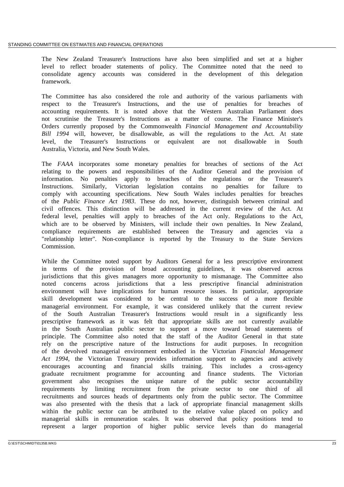The New Zealand Treasurer's Instructions have also been simplified and set at a higher level to reflect broader statements of policy. The Committee noted that the need to consolidate agency accounts was considered in the development of this delegation framework.

The Committee has also considered the role and authority of the various parliaments with respect to the Treasurer's Instructions, and the use of penalties for breaches of accounting requirements. It is noted above that the Western Australian Parliament does not scrutinise the Treasurer's Instructions as a matter of course. The Finance Minister's Orders currently proposed by the Commonwealth *Financial Management and Accountability Bill 1994* will, however, be disallowable, as will the regulations to the Act. At state level, the Treasurer's Instructions or equivalent are not disallowable in South Australia, Victoria, and New South Wales.

The *FAAA* incorporates some monetary penalties for breaches of sections of the Act relating to the powers and responsibilities of the Auditor General and the provision of information. No penalties apply to breaches of the regulations or the Treasurer's Instructions. Similarly, Victorian legislation contains no penalties for failure to comply with accounting specifications. New South Wales includes penalties for breaches of the *Public Finance Act 1983*. These do not, however, distinguish between criminal and civil offences. This distinction will be addressed in the current review of the Act. At federal level, penalties will apply to breaches of the Act only. Regulations to the Act, which are to be observed by Ministers, will include their own penalties. In New Zealand, compliance requirements are established between the Treasury and agencies via a "relationship letter". Non-compliance is reported by the Treasury to the State Services Commission.

While the Committee noted support by Auditors General for a less prescriptive environment in terms of the provision of broad accounting guidelines, it was observed across jurisdictions that this gives managers more opportunity to mismanage. The Committee also noted concerns across jurisdictions that a less prescriptive financial administration environment will have implications for human resource issues. In particular, appropriate skill development was considered to be central to the success of a more flexible managerial environment. For example, it was considered unlikely that the current review of the South Australian Treasurer's Instructions would result in a significantly less prescriptive framework as it was felt that appropriate skills are not currently available in the South Australian public sector to support a move toward broad statements of principle. The Committee also noted that the staff of the Auditor General in that state rely on the prescriptive nature of the Instructions for audit purposes. In recognition of the devolved managerial environment embodied in the Victorian *Financial Management Act 1994*, the Victorian Treasury provides information support to agencies and actively encourages accounting and financial skills training. This includes a cross-agency graduate recruitment programme for accounting and finance students. The Victorian government also recognises the unique nature of the public sector accountability requirements by limiting recruitment from the private sector to one third of all recruitments and sources heads of departments only from the public sector. The Committee was also presented with the thesis that a lack of appropriate financial management skills within the public sector can be attributed to the relative value placed on policy and managerial skills in remuneration scales. It was observed that policy positions tend to represent a larger proportion of higher public service levels than do managerial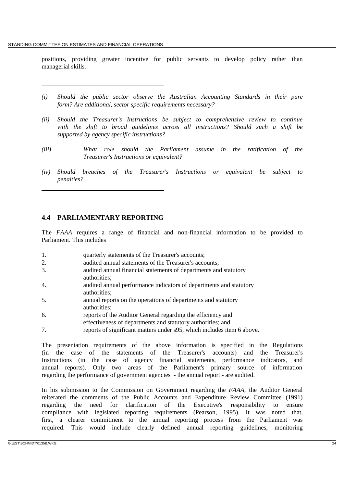positions, providing greater incentive for public servants to develop policy rather than managerial skills.

- *(i) Should the public sector observe the Australian Accounting Standards in their pure form? Are additional, sector specific requirements necessary?*
- *(ii) Should the Treasurer's Instructions be subject to comprehensive review to continue with the shift to broad guidelines across all instructions? Should such a shift be supported by agency specific instructions?*
- *(iii) What role should the Parliament assume in the ratification of the Treasurer's Instructions or equivalent?*
- *(iv) Should breaches of the Treasurer's Instructions or equivalent be subject to penalties?*

## **4.4 PARLIAMENTARY REPORTING**

The *FAAA* requires a range of financial and non-financial information to be provided to Parliament. This includes

- 1. quarterly statements of the Treasurer's accounts;
- 2. audited annual statements of the Treasurer's accounts;
- 3. audited annual financial statements of departments and statutory authorities;
- 4. audited annual performance indicators of departments and statutory authorities;
- 5. annual reports on the operations of departments and statutory authorities;
- 6. reports of the Auditor General regarding the efficiency and effectiveness of departments and statutory authorities; and
- 7. reports of significant matters under s95, which includes item 6 above.

The presentation requirements of the above information is specified in the Regulations (in the case of the statements of the Treasurer's accounts) and the Treasurer's Instructions (in the case of agency financial statements, performance indicators, and annual reports). Only two areas of the Parliament's primary source of information regarding the performance of government agencies - the annual report - are audited.

In his submission to the Commission on Government regarding the *FAAA*, the Auditor General reiterated the comments of the Public Accounts and Expenditure Review Committee (1991) regarding the need for clarification of the Executive's responsibility to ensure compliance with legislated reporting requirements (Pearson, 1995). It was noted that, first, a clearer commitment to the annual reporting process from the Parliament was required. This would include clearly defined annual reporting guidelines, monitoring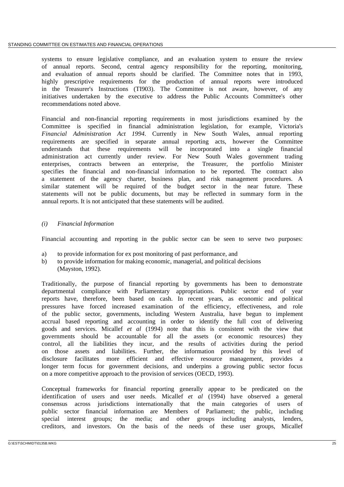systems to ensure legislative compliance, and an evaluation system to ensure the review of annual reports. Second, central agency responsibility for the reporting, monitoring, and evaluation of annual reports should be clarified. The Committee notes that in 1993, highly prescriptive requirements for the production of annual reports were introduced in the Treasurer's Instructions (TI903). The Committee is not aware, however, of any initiatives undertaken by the executive to address the Public Accounts Committee's other recommendations noted above.

Financial and non-financial reporting requirements in most jurisdictions examined by the Committee is specified in financial administration legislation, for example, Victoria's *Financial Administration Act 1994*. Currently in New South Wales, annual reporting requirements are specified in separate annual reporting acts, however the Committee understands that these requirements will be incorporated into a single financial administration act currently under review. For New South Wales government trading enterprises, contracts between an enterprise, the Treasurer, the portfolio Minister specifies the financial and non-financial information to be reported. The contract also a statement of the agency charter, business plan, and risk management procedures. A similar statement will be required of the budget sector in the near future. These statements will not be public documents, but may be reflected in summary form in the annual reports. It is not anticipated that these statements will be audited.

## *(i) Financial Information*

Financial accounting and reporting in the public sector can be seen to serve two purposes:

- a) to provide information for ex post monitoring of past performance, and
- b) to provide information for making economic, managerial, and political decisions (Mayston, 1992).

Traditionally, the purpose of financial reporting by governments has been to demonstrate departmental compliance with Parliamentary appropriations. Public sector end of year reports have, therefore, been based on cash. In recent years, as economic and political pressures have forced increased examination of the efficiency, effectiveness, and role of the public sector, governments, including Western Australia, have begun to implement accrual based reporting and accounting in order to identify the full cost of delivering goods and services. Micallef *et al* (1994) note that this is consistent with the view that governments should be accountable for all the assets (or economic resources) they control, all the liabilities they incur, and the results of activities during the period on those assets and liabilities. Further, the information provided by this level of disclosure facilitates more efficient and effective resource management, provides a longer term focus for government decisions, and underpins a growing public sector focus on a more competitive approach to the provision of services (OECD, 1993).

Conceptual frameworks for financial reporting generally appear to be predicated on the identification of users and user needs. Micallef *et al* (1994) have observed a general consensus across jurisdictions internationally that the main categories of users of public sector financial information are Members of Parliament; the public, including special interest groups; the media; and other groups including analysts, lenders, creditors, and investors. On the basis of the needs of these user groups, Micallef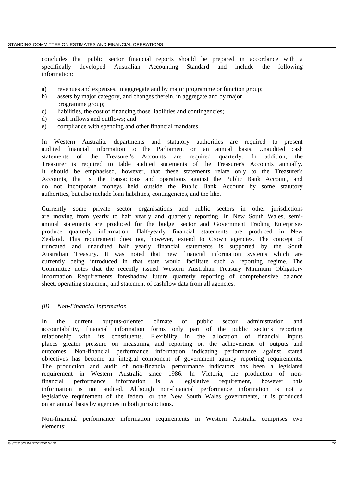concludes that public sector financial reports should be prepared in accordance with a specifically developed Australian Accounting Standard and include the following information:

- a) revenues and expenses, in aggregate and by major programme or function group;
- b) assets by major category, and changes therein, in aggregate and by major programme group;
- c) liabilities, the cost of financing those liabilities and contingencies;
- d) cash inflows and outflows; and
- e) compliance with spending and other financial mandates.

In Western Australia, departments and statutory authorities are required to present audited financial information to the Parliament on an annual basis. Unaudited cash statements of the Treasurer's Accounts are required quarterly. In addition, the Treasurer is required to table audited statements of the Treasurer's Accounts annually. It should be emphasised, however, that these statements relate only to the Treasurer's Accounts, that is, the transactions and operations against the Public Bank Account, and do not incorporate moneys held outside the Public Bank Account by some statutory authorities, but also include loan liabilities, contingencies, and the like.

Currently some private sector organisations and public sectors in other jurisdictions are moving from yearly to half yearly and quarterly reporting. In New South Wales, semiannual statements are produced for the budget sector and Government Trading Enterprises produce quarterly information. Half-yearly financial statements are produced in New Zealand. This requirement does not, however, extend to Crown agencies. The concept of truncated and unaudited half yearly financial statements is supported by the South Australian Treasury. It was noted that new financial information systems which are currently being introduced in that state would facilitate such a reporting regime. The Committee notes that the recently issued Western Australian Treasury Minimum Obligatory Information Requirements foreshadow future quarterly reporting of comprehensive balance sheet, operating statement, and statement of cashflow data from all agencies.

### *(ii) Non-Financial Information*

In the current outputs-oriented climate of public sector administration and accountability, financial information forms only part of the public sector's reporting relationship with its constituents. Flexibility in the allocation of financial inputs places greater pressure on measuring and reporting on the achievement of outputs and outcomes. Non-financial performance information indicating performance against stated objectives has become an integral component of government agency reporting requirements. The production and audit of non-financial performance indicators has been a legislated requirement in Western Australia since 1986. In Victoria, the production of nonfinancial performance information is a legislative requirement, however this information is not audited. Although non-financial performance information is not a legislative requirement of the federal or the New South Wales governments, it is produced on an annual basis by agencies in both jurisdictions.

Non-financial performance information requirements in Western Australia comprises two elements: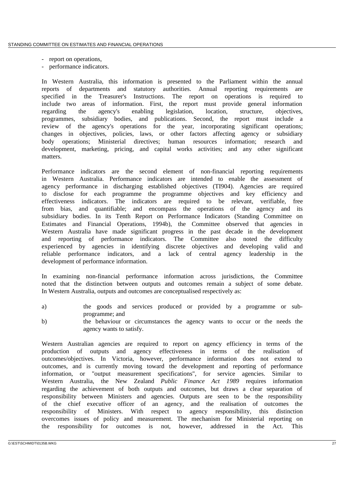- report on operations,
- performance indicators.

In Western Australia, this information is presented to the Parliament within the annual reports of departments and statutory authorities. Annual reporting requirements are specified in the Treasurer's Instructions. The report on operations is required to include two areas of information. First, the report must provide general information regarding the agency's enabling legislation, location, structure, objectives, programmes, subsidiary bodies, and publications. Second, the report must include a review of the agency's operations for the year, incorporating significant operations; changes in objectives, policies, laws, or other factors affecting agency or subsidiary body operations; Ministerial directives; human resources information; research and development, marketing, pricing, and capital works activities; and any other significant matters.

Performance indicators are the second element of non-financial reporting requirements in Western Australia. Performance indicators are intended to enable the assessment of agency performance in discharging established objectives (TI904). Agencies are required to disclose for each programme the programme objectives and key efficiency and effectiveness indicators. The indicators are required to be relevant, verifiable, free from bias, and quantifiable; and encompass the operations of the agency and its subsidiary bodies. In its Tenth Report on Performance Indicators (Standing Committee on Estimates and Financial Operations, 1994b), the Committee observed that agencies in Western Australia have made significant progress in the past decade in the development and reporting of performance indicators. The Committee also noted the difficulty experienced by agencies in identifying discrete objectives and developing valid and reliable performance indicators, and a lack of central agency leadership in the development of performance information.

In examining non-financial performance information across jurisdictions, the Committee noted that the distinction between outputs and outcomes remain a subject of some debate. In Western Australia, outputs and outcomes are conceptualised respectively as:

- a) the goods and services produced or provided by a programme or subprogramme; and
- b) the behaviour or circumstances the agency wants to occur or the needs the agency wants to satisfy.

Western Australian agencies are required to report on agency efficiency in terms of the production of outputs and agency effectiveness in terms of the realisation of outcomes/objectives. In Victoria, however, performance information does not extend to outcomes, and is currently moving toward the development and reporting of performance information, or "output measurement specifications", for service agencies. Similar to Western Australia, the New Zealand *Public Finance Act 1989* requires information regarding the achievement of both outputs and outcomes, but draws a clear separation of responsibility between Ministers and agencies. Outputs are seen to be the responsibility of the chief executive officer of an agency, and the realisation of outcomes the responsibility of Ministers. With respect to agency responsibility, this distinction overcomes issues of policy and measurement. The mechanism for Ministerial reporting on the responsibility for outcomes is not, however, addressed in the Act. This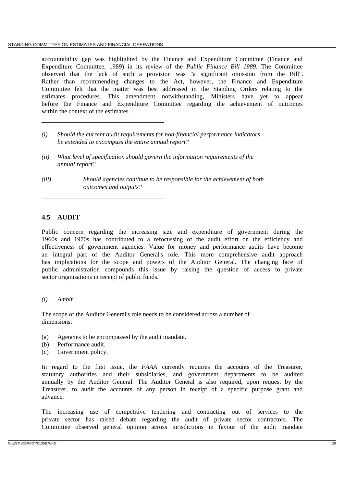accountability gap was highlighted by the Finance and Expenditure Committee (Finance and Expenditure Committee, 1989) in its review of the *Public Finance Bill 1989*. The Committee observed that the lack of such a provision was "a significant omission from the Bill". Rather than recommending changes to the Act, however, the Finance and Expenditure Committee felt that the matter was best addressed in the Standing Orders relating to the estimates procedures. This amendment notwithstanding, Ministers have yet to appear before the Finance and Expenditure Committee regarding the achievement of outcomes within the context of the estimates.

- *(i) Should the current audit requirements for non-financial performance indicators be extended to encompass the entire annual report?*
- *(ii) What level of specification should govern the information requirements of the annual report?*
- *(iii) Should agencies continue to be responsible for the achievement of both outcomes and outputs?*

# **4.5 AUDIT**

Public concern regarding the increasing size and expenditure of government during the 1960s and 1970s has contributed to a refocussing of the audit effort on the efficiency and effectiveness of government agencies. Value for money and performance audits have become an integral part of the Auditor General's role. This more comprehensive audit approach has implications for the scope and powers of the Auditor General. The changing face of public administration compounds this issue by raising the question of access to private sector organisations in receipt of public funds.

### *(i) Ambit*

The scope of the Auditor General's role needs to be considered across a number of dimensions:

- (a) Agencies to be encompassed by the audit mandate.
- (b) Performance audit.
- (c) Government policy.

In regard to the first issue, the *FAAA* currently requires the accounts of the Treasurer, statutory authorities and their subsidiaries, and government departments to be audited annually by the Auditor General. The Auditor General is also required, upon request by the Treasurer, to audit the accounts of any person in receipt of a specific purpose grant and advance.

The increasing use of competitive tendering and contracting out of services to the private sector has raised debate regarding the audit of private sector contractors. The Committee observed general opinion across jurisdictions in favour of the audit mandate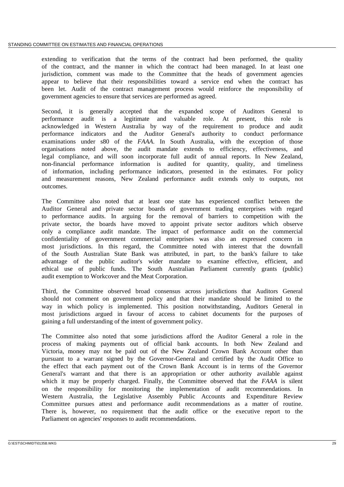extending to verification that the terms of the contract had been performed, the quality of the contract, and the manner in which the contract had been managed. In at least one jurisdiction, comment was made to the Committee that the heads of government agencies appear to believe that their responsibilities toward a service end when the contract has been let. Audit of the contract management process would reinforce the responsibility of government agencies to ensure that services are performed as agreed.

Second, it is generally accepted that the expanded scope of Auditors General to performance audit is a legitimate and valuable role. At present, this role is acknowledged in Western Australia by way of the requirement to produce and audit performance indicators and the Auditor General's authority to conduct performance examinations under s80 of the *FAAA*. In South Australia, with the exception of those organisations noted above, the audit mandate extends to efficiency, effectiveness, and legal compliance, and will soon incorporate full audit of annual reports. In New Zealand, non-financial performance information is audited for quantity, quality, and timeliness of information, including performance indicators, presented in the estimates. For policy and measurement reasons, New Zealand performance audit extends only to outputs, not outcomes.

The Committee also noted that at least one state has experienced conflict between the Auditor General and private sector boards of government trading enterprises with regard to performance audits. In arguing for the removal of barriers to competition with the private sector, the boards have moved to appoint private sector auditors which observe only a compliance audit mandate. The impact of performance audit on the commercial confidentiality of government commercial enterprises was also an expressed concern in most jurisdictions. In this regard, the Committee noted with interest that the downfall of the South Australian State Bank was attributed, in part, to the bank's failure to take advantage of the public auditor's wider mandate to examine effective, efficient, and ethical use of public funds. The South Australian Parliament currently grants (public) audit exemption to Workcover and the Meat Corporation.

Third, the Committee observed broad consensus across jurisdictions that Auditors General should not comment on government policy and that their mandate should be limited to the way in which policy is implemented. This position notwithstanding, Auditors General in most jurisdictions argued in favour of access to cabinet documents for the purposes of gaining a full understanding of the intent of government policy.

The Committee also noted that some jurisdictions afford the Auditor General a role in the process of making payments out of official bank accounts. In both New Zealand and Victoria, money may not be paid out of the New Zealand Crown Bank Account other than pursuant to a warrant signed by the Governor-General and certified by the Audit Office to the effect that each payment out of the Crown Bank Account is in terms of the Governor General's warrant and that there is an appropriation or other authority available against which it may be properly charged. Finally, the Committee observed that the *FAAA* is silent on the responsibility for monitoring the implementation of audit recommendations. In Western Australia, the Legislative Assembly Public Accounts and Expenditure Review Committee pursues attest and performance audit recommendations as a matter of routine. There is, however, no requirement that the audit office or the executive report to the Parliament on agencies' responses to audit recommendations.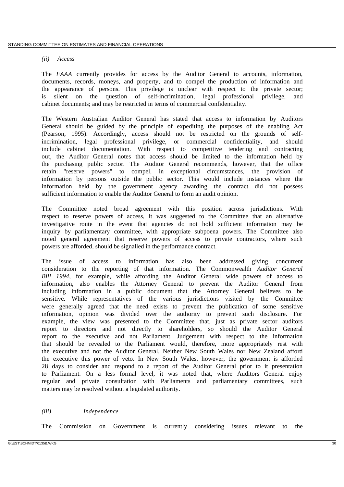#### *(ii) Access*

The *FAAA* currently provides for access by the Auditor General to accounts, information, documents, records, moneys, and property, and to compel the production of information and the appearance of persons. This privilege is unclear with respect to the private sector; is silent on the question of self-incrimination, legal professional privilege, and cabinet documents; and may be restricted in terms of commercial confidentiality.

The Western Australian Auditor General has stated that access to information by Auditors General should be guided by the principle of expediting the purposes of the enabling Act (Pearson, 1995). Accordingly, access should not be restricted on the grounds of selfincrimination, legal professional privilege, or commercial confidentiality, and should include cabinet documentation. With respect to competitive tendering and contracting out, the Auditor General notes that access should be limited to the information held by the purchasing public sector. The Auditor General recommends, however, that the office retain "reserve powers" to compel, in exceptional circumstances, the provision of information by persons outside the public sector. This would include instances where the information held by the government agency awarding the contract did not possess sufficient information to enable the Auditor General to form an audit opinion.

The Committee noted broad agreement with this position across jurisdictions. With respect to reserve powers of access, it was suggested to the Committee that an alternative investigative route in the event that agencies do not hold sufficient information may be inquiry by parliamentary committee, with appropriate subpoena powers. The Committee also noted general agreement that reserve powers of access to private contractors, where such powers are afforded, should be signalled in the performance contract.

The issue of access to information has also been addressed giving concurrent consideration to the reporting of that information. The Commonwealth *Auditor General Bill 1994*, for example, while affording the Auditor General wide powers of access to information, also enables the Attorney General to prevent the Auditor General from including information in a public document that the Attorney General believes to be sensitive. While representatives of the various jurisdictions visited by the Committee were generally agreed that the need exists to prevent the publication of some sensitive information, opinion was divided over the authority to prevent such disclosure. For example, the view was presented to the Committee that, just as private sector auditors report to directors and not directly to shareholders, so should the Auditor General report to the executive and not Parliament. Judgement with respect to the information that should be revealed to the Parliament would, therefore, more appropriately rest with the executive and not the Auditor General. Neither New South Wales nor New Zealand afford the executive this power of veto. In New South Wales, however, the government is afforded 28 days to consider and respond to a report of the Auditor General prior to it presentation to Parliament. On a less formal level, it was noted that, where Auditors General enjoy regular and private consultation with Parliaments and parliamentary committees, such matters may be resolved without a legislated authority.

### *(iii) Independence*

The Commission on Government is currently considering issues relevant to the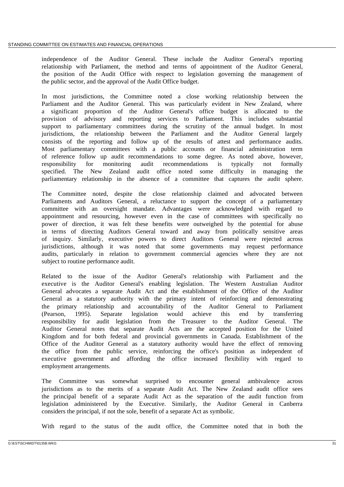independence of the Auditor General. These include the Auditor General's reporting relationship with Parliament, the method and terms of appointment of the Auditor General, the position of the Audit Office with respect to legislation governing the management of the public sector, and the approval of the Audit Office budget.

In most jurisdictions, the Committee noted a close working relationship between the Parliament and the Auditor General. This was particularly evident in New Zealand, where a significant proportion of the Auditor General's office budget is allocated to the provision of advisory and reporting services to Parliament. This includes substantial support to parliamentary committees during the scrutiny of the annual budget. In most jurisdictions, the relationship between the Parliament and the Auditor General largely consists of the reporting and follow up of the results of attest and performance audits. Most parliamentary committees with a public accounts or financial administration term of reference follow up audit recommendations to some degree. As noted above, however, responsibility for monitoring audit recommendations is typically not formally specified. The New Zealand audit office noted some difficulty in managing the parliamentary relationship in the absence of a committee that captures the audit sphere.

The Committee noted, despite the close relationship claimed and advocated between Parliaments and Auditors General, a reluctance to support the concept of a parliamentary committee with an oversight mandate. Advantages were acknowledged with regard to appointment and resourcing, however even in the case of committees with specifically no power of direction, it was felt these benefits were outweighed by the potential for abuse in terms of directing Auditors General toward and away from politically sensitive areas of inquiry. Similarly, executive powers to direct Auditors General were rejected across jurisdictions, although it was noted that some governments may request performance audits, particularly in relation to government commercial agencies where they are not subject to routine performance audit.

Related to the issue of the Auditor General's relationship with Parliament and the executive is the Auditor General's enabling legislation. The Western Australian Auditor General advocates a separate Audit Act and the establishment of the Office of the Auditor General as a statutory authority with the primary intent of reinforcing and demonstrating the primary relationship and accountability of the Auditor General to Parliament (Pearson, 1995). Separate legislation would achieve this end by transferring responsibility for audit legislation from the Treasurer to the Auditor General. The Auditor General notes that separate Audit Acts are the accepted position for the United Kingdom and for both federal and provincial governments in Canada. Establishment of the Office of the Auditor General as a statutory authority would have the effect of removing the office from the public service, reinforcing the office's position as independent of executive government and affording the office increased flexibility with regard to employment arrangements.

The Committee was somewhat surprised to encounter general ambivalence across jurisdictions as to the merits of a separate Audit Act. The New Zealand audit office sees the principal benefit of a separate Audit Act as the separation of the audit function from legislation administered by the Executive. Similarly, the Auditor General in Canberra considers the principal, if not the sole, benefit of a separate Act as symbolic.

With regard to the status of the audit office, the Committee noted that in both the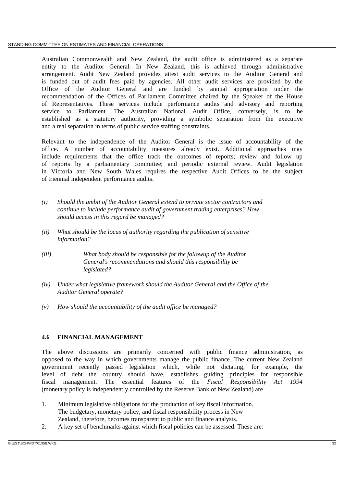Australian Commonwealth and New Zealand, the audit office is administered as a separate entity to the Auditor General. In New Zealand, this is achieved through administrative arrangement. Audit New Zealand provides attest audit services to the Auditor General and is funded out of audit fees paid by agencies. All other audit services are provided by the Office of the Auditor General and are funded by annual appropriation under the recommendation of the Offices of Parliament Committee chaired by the Speaker of the House of Representatives. These services include performance audits and advisory and reporting service to Parliament. The Australian National Audit Office, conversely, is to be established as a statutory authority, providing a symbolic separation from the executive and a real separation in terms of public service staffing constraints.

Relevant to the independence of the Auditor General is the issue of accountability of the office. A number of accountability measures already exist. Additional approaches may include requirements that the office track the outcomes of reports; review and follow up of reports by a parliamentary committee; and periodic external review. Audit legislation in Victoria and New South Wales requires the respective Audit Offices to be the subject of triennial independent performance audits.

- *(i) Should the ambit of the Auditor General extend to private sector contractors and continue to include performance audit of government trading enterprises? How should access in this regard be managed?*
- *(ii) What should be the locus of authority regarding the publication of sensitive information?*
- *(iii) What body should be responsible for the followup of the Auditor General's recommendations and should this responsibility be legislated?*
- *(iv) Under what legislative framework should the Auditor General and the Office of the Auditor General operate?*
- *(v) How should the accountability of the audit office be managed?*

### **4.6 FINANCIAL MANAGEMENT**

The above discussions are primarily concerned with public finance administration, as opposed to the way in which governments manage the public finance. The current New Zealand government recently passed legislation which, while not dictating, for example, the level of debt the country should have, establishes guiding principles for responsible fiscal management. The essential features of the *Fiscal Responsibility Act 1994* (monetary policy is independently controlled by the Reserve Bank of New Zealand) are

- 1. Minimum legislative obligations for the production of key fiscal information. The budgetary, monetary policy, and fiscal responsibility process in New Zealand, therefore, becomes transparent to public and finance analysts.
- 2. A key set of benchmarks against which fiscal policies can be assessed. These are: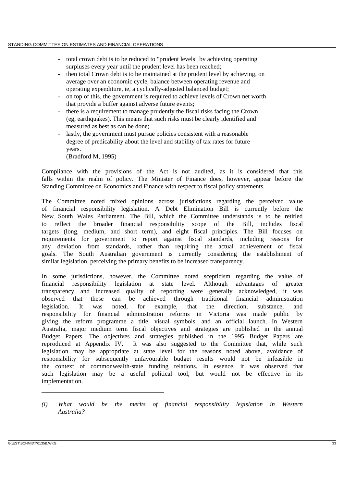- total crown debt is to be reduced to "prudent levels" by achieving operating surpluses every year until the prudent level has been reached;
- then total Crown debt is to be maintained at the prudent level by achieving, on average over an economic cycle, balance between operating revenue and operating expenditure, ie, a cyclically-adjusted balanced budget;
- on top of this, the government is required to achieve levels of Crown net worth that provide a buffer against adverse future events;
- there is a requirement to manage prudently the fiscal risks facing the Crown (eg, earthquakes). This means that such risks must be clearly identified and measured as best as can be done;
- lastly, the government must pursue policies consistent with a reasonable degree of predicability about the level and stability of tax rates for future years.

(Bradford M, 1995)

Compliance with the provisions of the Act is not audited, as it is considered that this falls within the realm of policy. The Minister of Finance does, however, appear before the Standing Committee on Economics and Finance with respect to fiscal policy statements.

The Committee noted mixed opinions across jurisdictions regarding the perceived value of financial responsibility legislation. A Debt Elimination Bill is currently before the New South Wales Parliament. The Bill, which the Committee understands is to be retitled to reflect the broader financial responsibility scope of the Bill, includes fiscal targets (long, medium, and short term), and eight fiscal principles. The Bill focuses on requirements for government to report against fiscal standards, including reasons for any deviation from standards, rather than requiring the actual achievement of fiscal goals. The South Australian government is currently considering the establishment of similar legislation, perceiving the primary benefits to be increased transparency.

In some jurisdictions, however, the Committee noted scepticism regarding the value of financial responsibility legislation at state level. Although advantages of greater transparency and increased quality of reporting were generally acknowledged, it was observed that these can be achieved through traditional financial administration legislation. It was noted, for example, that the direction, substance, and responsibility for financial administration reforms in Victoria was made public by giving the reform programme a title, visual symbols, and an official launch. In Western Australia, major medium term fiscal objectives and strategies are published in the annual Budget Papers. The objectives and strategies published in the 1995 Budget Papers are reproduced at Appendix IV. It was also suggested to the Committee that, while such legislation may be appropriate at state level for the reasons noted above, avoidance of responsibility for subsequently unfavourable budget results would not be infeasible in the context of commonwealth-state funding relations. In essence, it was observed that such legislation may be a useful political tool, but would not be effective in its implementation.

*<sup>(</sup>i) What would be the merits of financial responsibility legislation in Western Australia?*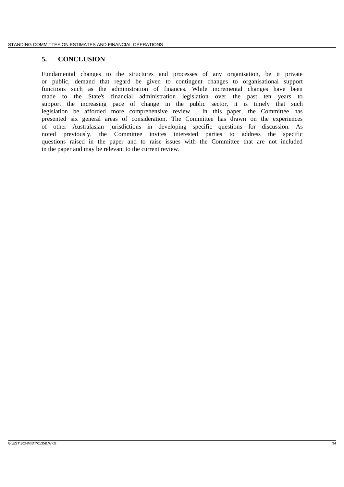## **5. CONCLUSION**

Fundamental changes to the structures and processes of any organisation, be it private or public, demand that regard be given to contingent changes to organisational support functions such as the administration of finances. While incremental changes have been made to the State's financial administration legislation over the past ten years to support the increasing pace of change in the public sector, it is timely that such legislation be afforded more comprehensive review. In this paper, the Committee has presented six general areas of consideration. The Committee has drawn on the experiences of other Australasian jurisdictions in developing specific questions for discussion. As noted previously, the Committee invites interested parties to address the specific questions raised in the paper and to raise issues with the Committee that are not included in the paper and may be relevant to the current review.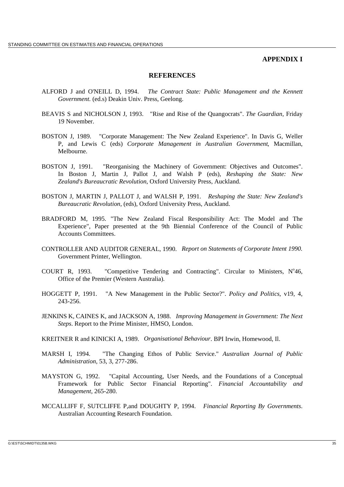#### **APPENDIX I**

#### **REFERENCES**

- ALFORD J and O'NEILL D, 1994. *The Contract State: Public Management and the Kennett Government.* (ed.s) Deakin Univ. Press, Geelong.
- BEAVIS S and NICHOLSON J, 1993. "Rise and Rise of the Quangocrats". *The Guardian*, Friday 19 November.
- BOSTON J, 1989. "Corporate Management: The New Zealand Experience". In Davis G, Weller P, and Lewis C (eds) *Corporate Management in Australian Government*, Macmillan, Melbourne.
- BOSTON J, 1991. "Reorganising the Machinery of Government: Objectives and Outcomes". In Boston J, Martin J, Pallot J, and Walsh P (eds), *Reshaping the State: New Zealand's Bureaucratic Revolution*, Oxford University Press, Auckland.
- BOSTON J, MARTIN J, PALLOT J, and WALSH P, 1991. *Reshaping the State: New Zealand's Bureaucratic Revolution*, (eds), Oxford University Press, Auckland.
- BRADFORD M, 1995. "The New Zealand Fiscal Responsibility Act: The Model and The Experience", Paper presented at the 9th Biennial Conference of the Council of Public Accounts Committees.
- CONTROLLER AND AUDITOR GENERAL, 1990. *Report on Statements of Corporate Intent 1990.* Government Printer, Wellington.
- COURT R, 1993. "Competitive Tendering and Contracting". Circular to Ministers,  $N^{\circ}46$ , Office of the Premier (Western Australia).
- HOGGETT P, 1991. "A New Management in the Public Sector?". *Policy and Politics*, v19, 4, 243-256.
- JENKINS K, CAINES K, and JACKSON A, 1988. *Improving Management in Government: The Next Steps*. Report to the Prime Minister, HMSO, London.
- KREITNER R and KINICKI A, 1989. *Organisational Behaviour*. BPI Irwin, Homewood, Il.
- MARSH I, 1994. "The Changing Ethos of Public Service." *Australian Journal of Public Administration*, 53, 3, 277-286.
- MAYSTON G, 1992. "Capital Accounting, User Needs, and the Foundations of a Conceptual Framework for Public Sector Financial Reporting". *Financial Accountability and Management*, 265-280.
- MCCALLIFF F, SUTCLIFFE P,and DOUGHTY P, 1994. *Financial Reporting By Governments*. Australian Accounting Research Foundation.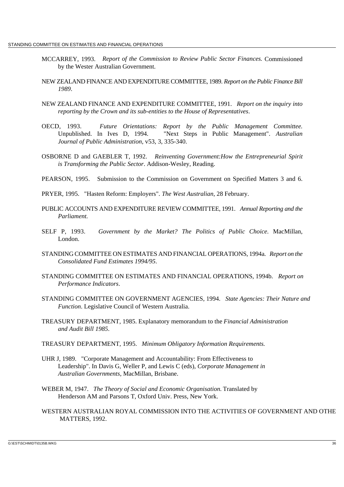- MCCARREY, 1993. *Report of the Commission to Review Public Sector Finances.* Commissioned by the Wester Australian Government.
- NEW ZEALAND FINANCE AND EXPENDITURE COMMITTEE, 1989. *Report on the Public Finance Bill 1989*.
- NEW ZEALAND FINANCE AND EXPENDITURE COMMITTEE, 1991. *Report on the inquiry into reporting by the Crown and its sub-entities to the House of Representatives*.
- OECD, 1993. *Future Orientations: Report by the Public Management Committee.* Unpublished. In Ives D, 1994. "Next Steps in Public Management". *Australian Journal of Public Administration*, v53, 3, 335-340.
- OSBORNE D and GAEBLER T, 1992. *Reinventing Government:How the Entrepreneurial Spirit is Transforming the Public Sector*. Addison-Wesley, Reading.
- PEARSON, 1995. Submission to the Commission on Government on Specified Matters 3 and 6.
- PRYER, 1995. "Hasten Reform: Employers". *The West Australian*, 28 February.
- PUBLIC ACCOUNTS AND EXPENDITURE REVIEW COMMITTEE, 1991. *Annual Reporting and the Parliament.*
- SELF P, 1993. *Government by the Market? The Politics of Public Choice*. MacMillan, London.
- STANDING COMMITTEE ON ESTIMATES AND FINANCIAL OPERATIONS, 1994a. *Report on the Consolidated Fund Estimates 1994/95*.
- STANDING COMMITTEE ON ESTIMATES AND FINANCIAL OPERATIONS, 1994b. *Report on Performance Indicators*.
- STANDING COMMITTEE ON GOVERNMENT AGENCIES, 1994. *State Agencies: Their Nature and Function*. Legislative Council of Western Australia.
- TREASURY DEPARTMENT, 1985. Explanatory memorandum to the *Financial Administration and Audit Bill 1985*.
- TREASURY DEPARTMENT, 1995. *Minimum Obligatory Information Requirements.*
- UHR J, 1989. "Corporate Management and Accountability: From Effectiveness to Leadership". In Davis G, Weller P, and Lewis C (eds), *Corporate Management in Australian Governments*, MacMillan, Brisbane.
- WEBER M, 1947. *The Theory of Social and Economic Organisation.* Translated by Henderson AM and Parsons T, Oxford Univ. Press, New York.
- WESTERN AUSTRALIAN ROYAL COMMISSION INTO THE ACTIVITIES OF GOVERNMENT AND OTHE MATTERS, 1992.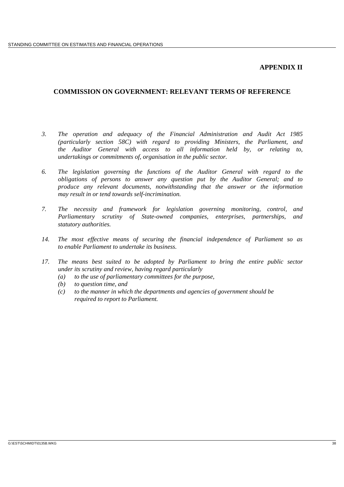## **APPENDIX II**

## **COMMISSION ON GOVERNMENT: RELEVANT TERMS OF REFERENCE**

- *3. The operation and adequacy of the Financial Administration and Audit Act 1985 (particularly section 58C) with regard to providing Ministers, the Parliament, and the Auditor General with access to all information held by, or relating to, undertakings or commitments of, organisation in the public sector.*
- *6. The legislation governing the functions of the Auditor General with regard to the obligations of persons to answer any question put by the Auditor General; and to produce any relevant documents, notwithstanding that the answer or the information may result in or tend towards self-incrimination.*
- *7. The necessity and framework for legislation governing monitoring, control, and Parliamentary scrutiny of State-owned companies, enterprises, partnerships, and statutory authorities.*
- *14. The most effective means of securing the financial independence of Parliament so as to enable Parliament to undertake its business.*
- *17. The means best suited to be adopted by Parliament to bring the entire public sector under its scrutiny and review, having regard particularly*
	- *(a) to the use of parliamentary committees for the purpose,*
	- *(b) to question time, and*
	- *(c) to the manner in which the departments and agencies of government should be required to report to Parliament.*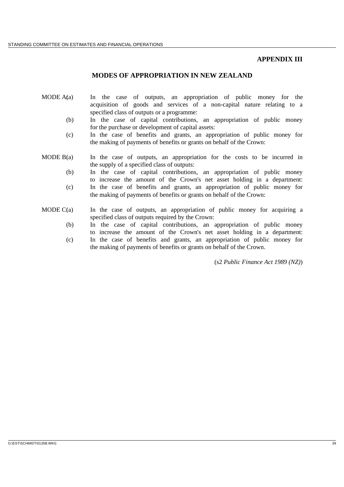### **APPENDIX III**

## **MODES OF APPROPRIATION IN NEW ZEALAND**

- MODE  $A(a)$  In the case of outputs, an appropriation of public money for the acquisition of goods and services of a non-capital nature relating to a specified class of outputs or a programme:
	- (b) In the case of capital contributions, an appropriation of public money for the purchase or development of capital assets:
	- (c) In the case of benefits and grants, an appropriation of public money for the making of payments of benefits or grants on behalf of the Crown:
- MODE  $B(a)$  In the case of outputs, an appropriation for the costs to be incurred in the supply of a specified class of outputs:
	- (b) In the case of capital contributions, an appropriation of public money to increase the amount of the Crown's net asset holding in a department: (c) In the case of benefits and grants, an appropriation of public money for the making of payments of benefits or grants on behalf of the Crown:
- MODE  $C(a)$  In the case of outputs, an appropriation of public money for acquiring a specified class of outputs required by the Crown:
	- (b) In the case of capital contributions, an appropriation of public money to increase the amount of the Crown's net asset holding in a department:
	- (c) In the case of benefits and grants, an appropriation of public money for the making of payments of benefits or grants on behalf of the Crown.

(s2 *Public Finance Act 1989 (NZ)*)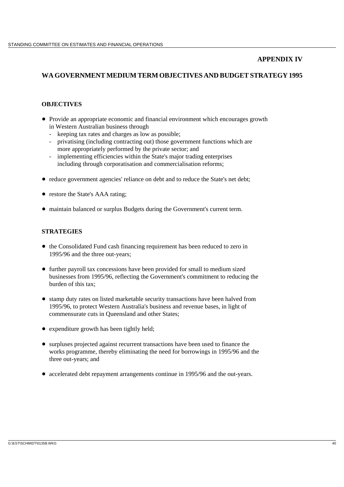## **APPENDIX IV**

# **WA GOVERNMENT MEDIUM TERM OBJECTIVES AND BUDGET STRATEGY 1995**

## **OBJECTIVES**

- Provide an appropriate economic and financial environment which encourages growth in Western Australian business through
	- keeping tax rates and charges as low as possible;
	- privatising (including contracting out) those government functions which are more appropriately performed by the private sector; and
	- implementing efficiencies within the State's major trading enterprises including through corporatisation and commercialisation reforms;
- reduce government agencies' reliance on debt and to reduce the State's net debt;
- restore the State's AAA rating;
- maintain balanced or surplus Budgets during the Government's current term.

## **STRATEGIES**

- the Consolidated Fund cash financing requirement has been reduced to zero in 1995/96 and the three out-years;
- further payroll tax concessions have been provided for small to medium sized businesses from 1995/96, reflecting the Government's commitment to reducing the burden of this tax;
- stamp duty rates on listed marketable security transactions have been halved from 1995/96, to protect Western Australia's business and revenue bases, in light of commensurate cuts in Queensland and other States;
- expenditure growth has been tightly held;
- surpluses projected against recurrent transactions have been used to finance the works programme, thereby eliminating the need for borrowings in 1995/96 and the three out-years; and
- accelerated debt repayment arrangements continue in 1995/96 and the out-years.